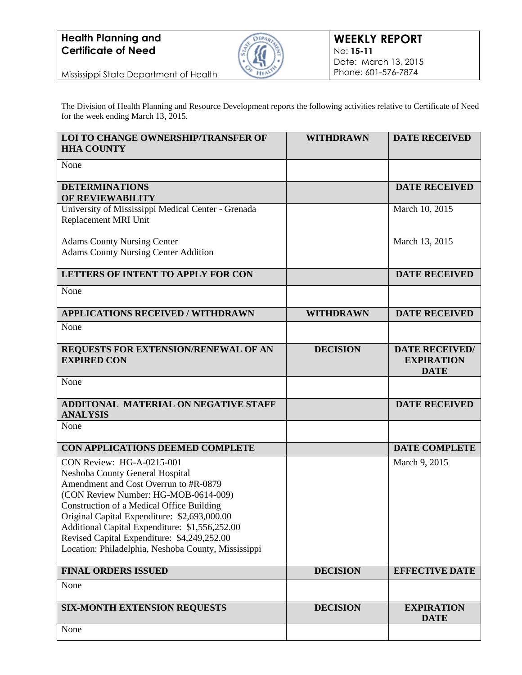

Mississippi State Department of Health

The Division of Health Planning and Resource Development reports the following activities relative to Certificate of Need for the week ending March 13, 2015.

| <b>LOI TO CHANGE OWNERSHIP/TRANSFER OF</b><br><b>HHA COUNTY</b>                                                                                                                                                                                                                                                                                                                                    | <b>WITHDRAWN</b> | <b>DATE RECEIVED</b>                                      |
|----------------------------------------------------------------------------------------------------------------------------------------------------------------------------------------------------------------------------------------------------------------------------------------------------------------------------------------------------------------------------------------------------|------------------|-----------------------------------------------------------|
| None                                                                                                                                                                                                                                                                                                                                                                                               |                  |                                                           |
| <b>DETERMINATIONS</b><br>OF REVIEWABILITY                                                                                                                                                                                                                                                                                                                                                          |                  | <b>DATE RECEIVED</b>                                      |
| University of Mississippi Medical Center - Grenada<br>Replacement MRI Unit                                                                                                                                                                                                                                                                                                                         |                  | March 10, 2015                                            |
| <b>Adams County Nursing Center</b><br><b>Adams County Nursing Center Addition</b>                                                                                                                                                                                                                                                                                                                  |                  | March 13, 2015                                            |
| <b>LETTERS OF INTENT TO APPLY FOR CON</b>                                                                                                                                                                                                                                                                                                                                                          |                  | <b>DATE RECEIVED</b>                                      |
| None                                                                                                                                                                                                                                                                                                                                                                                               |                  |                                                           |
| <b>APPLICATIONS RECEIVED / WITHDRAWN</b>                                                                                                                                                                                                                                                                                                                                                           | <b>WITHDRAWN</b> | <b>DATE RECEIVED</b>                                      |
| None                                                                                                                                                                                                                                                                                                                                                                                               |                  |                                                           |
| REQUESTS FOR EXTENSION/RENEWAL OF AN<br><b>EXPIRED CON</b>                                                                                                                                                                                                                                                                                                                                         | <b>DECISION</b>  | <b>DATE RECEIVED/</b><br><b>EXPIRATION</b><br><b>DATE</b> |
| None                                                                                                                                                                                                                                                                                                                                                                                               |                  |                                                           |
| <b>ADDITONAL MATERIAL ON NEGATIVE STAFF</b><br><b>ANALYSIS</b>                                                                                                                                                                                                                                                                                                                                     |                  | <b>DATE RECEIVED</b>                                      |
| None                                                                                                                                                                                                                                                                                                                                                                                               |                  |                                                           |
| CON APPLICATIONS DEEMED COMPLETE                                                                                                                                                                                                                                                                                                                                                                   |                  | <b>DATE COMPLETE</b>                                      |
| CON Review: HG-A-0215-001<br>Neshoba County General Hospital<br>Amendment and Cost Overrun to #R-0879<br>(CON Review Number: HG-MOB-0614-009)<br>Construction of a Medical Office Building<br>Original Capital Expenditure: \$2,693,000.00<br>Additional Capital Expenditure: \$1,556,252.00<br>Revised Capital Expenditure: \$4,249,252.00<br>Location: Philadelphia, Neshoba County, Mississippi |                  | March 9, 2015                                             |
| <b>FINAL ORDERS ISSUED</b>                                                                                                                                                                                                                                                                                                                                                                         | <b>DECISION</b>  | <b>EFFECTIVE DATE</b>                                     |
| None                                                                                                                                                                                                                                                                                                                                                                                               |                  |                                                           |
| <b>SIX-MONTH EXTENSION REQUESTS</b>                                                                                                                                                                                                                                                                                                                                                                | <b>DECISION</b>  | <b>EXPIRATION</b><br><b>DATE</b>                          |
| None                                                                                                                                                                                                                                                                                                                                                                                               |                  |                                                           |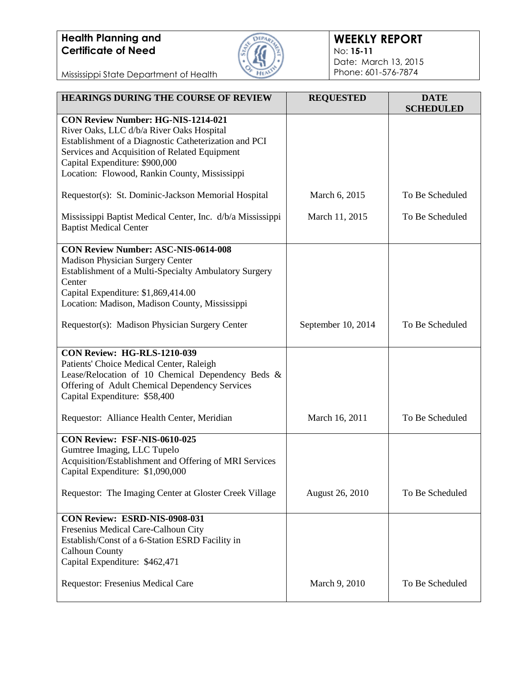

### **WEEKLY REPORT** No: **15-11** Date: March 13, 2015 Phone: 601-576-7874

Mississippi State Department of Health

| HEARINGS DURING THE COURSE OF REVIEW                                                                                                                                                                                                                                                | <b>REQUESTED</b>   | <b>DATE</b><br><b>SCHEDULED</b> |
|-------------------------------------------------------------------------------------------------------------------------------------------------------------------------------------------------------------------------------------------------------------------------------------|--------------------|---------------------------------|
| <b>CON Review Number: HG-NIS-1214-021</b><br>River Oaks, LLC d/b/a River Oaks Hospital<br>Establishment of a Diagnostic Catheterization and PCI<br>Services and Acquisition of Related Equipment<br>Capital Expenditure: \$900,000<br>Location: Flowood, Rankin County, Mississippi |                    |                                 |
| Requestor(s): St. Dominic-Jackson Memorial Hospital                                                                                                                                                                                                                                 | March 6, 2015      | To Be Scheduled                 |
| Mississippi Baptist Medical Center, Inc. d/b/a Mississippi<br><b>Baptist Medical Center</b>                                                                                                                                                                                         | March 11, 2015     | To Be Scheduled                 |
| <b>CON Review Number: ASC-NIS-0614-008</b><br>Madison Physician Surgery Center<br>Establishment of a Multi-Specialty Ambulatory Surgery<br>Center<br>Capital Expenditure: \$1,869,414.00<br>Location: Madison, Madison County, Mississippi                                          |                    |                                 |
| Requestor(s): Madison Physician Surgery Center                                                                                                                                                                                                                                      | September 10, 2014 | To Be Scheduled                 |
| CON Review: HG-RLS-1210-039<br>Patients' Choice Medical Center, Raleigh<br>Lease/Relocation of 10 Chemical Dependency Beds &<br>Offering of Adult Chemical Dependency Services<br>Capital Expenditure: \$58,400                                                                     |                    |                                 |
| Requestor: Alliance Health Center, Meridian                                                                                                                                                                                                                                         | March 16, 2011     | To Be Scheduled                 |
| CON Review: FSF-NIS-0610-025<br>Gumtree Imaging, LLC Tupelo<br>Acquisition/Establishment and Offering of MRI Services<br>Capital Expenditure: \$1,090,000                                                                                                                           |                    |                                 |
| Requestor: The Imaging Center at Gloster Creek Village                                                                                                                                                                                                                              | August 26, 2010    | To Be Scheduled                 |
| CON Review: ESRD-NIS-0908-031<br>Fresenius Medical Care-Calhoun City<br>Establish/Const of a 6-Station ESRD Facility in<br><b>Calhoun County</b><br>Capital Expenditure: \$462,471                                                                                                  |                    |                                 |
| Requestor: Fresenius Medical Care                                                                                                                                                                                                                                                   | March 9, 2010      | To Be Scheduled                 |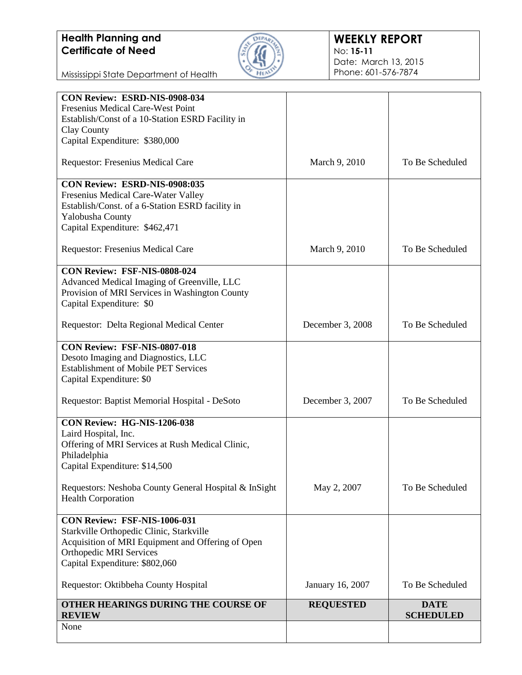

### **WEEKLY REPORT** No: **15-11** Date: March 13, 2015 Phone: 601-576-7874

Mississippi State Department of Health

| Fresenius Medical Care-West Point<br>Establish/Const of a 10-Station ESRD Facility in<br>Clay County<br>Capital Expenditure: \$380,000 |                  |                                 |
|----------------------------------------------------------------------------------------------------------------------------------------|------------------|---------------------------------|
|                                                                                                                                        |                  |                                 |
|                                                                                                                                        |                  |                                 |
|                                                                                                                                        |                  |                                 |
|                                                                                                                                        |                  |                                 |
| Requestor: Fresenius Medical Care                                                                                                      | March 9, 2010    | To Be Scheduled                 |
| <b>CON Review: ESRD-NIS-0908:035</b>                                                                                                   |                  |                                 |
| Fresenius Medical Care-Water Valley                                                                                                    |                  |                                 |
| Establish/Const. of a 6-Station ESRD facility in                                                                                       |                  |                                 |
| Yalobusha County                                                                                                                       |                  |                                 |
| Capital Expenditure: \$462,471                                                                                                         |                  |                                 |
| Requestor: Fresenius Medical Care                                                                                                      | March 9, 2010    | To Be Scheduled                 |
| CON Review: FSF-NIS-0808-024                                                                                                           |                  |                                 |
| Advanced Medical Imaging of Greenville, LLC                                                                                            |                  |                                 |
| Provision of MRI Services in Washington County                                                                                         |                  |                                 |
| Capital Expenditure: \$0                                                                                                               |                  |                                 |
|                                                                                                                                        |                  |                                 |
| Requestor: Delta Regional Medical Center                                                                                               | December 3, 2008 | To Be Scheduled                 |
| CON Review: FSF-NIS-0807-018                                                                                                           |                  |                                 |
| Desoto Imaging and Diagnostics, LLC                                                                                                    |                  |                                 |
| <b>Establishment of Mobile PET Services</b>                                                                                            |                  |                                 |
| Capital Expenditure: \$0                                                                                                               |                  |                                 |
| Requestor: Baptist Memorial Hospital - DeSoto                                                                                          | December 3, 2007 | To Be Scheduled                 |
| CON Review: HG-NIS-1206-038                                                                                                            |                  |                                 |
| Laird Hospital, Inc.                                                                                                                   |                  |                                 |
| Offering of MRI Services at Rush Medical Clinic,                                                                                       |                  |                                 |
| Philadelphia                                                                                                                           |                  |                                 |
| Capital Expenditure: \$14,500                                                                                                          |                  |                                 |
| Requestors: Neshoba County General Hospital & InSight                                                                                  | May 2, 2007      | To Be Scheduled                 |
| <b>Health Corporation</b>                                                                                                              |                  |                                 |
| CON Review: FSF-NIS-1006-031                                                                                                           |                  |                                 |
| Starkville Orthopedic Clinic, Starkville                                                                                               |                  |                                 |
| Acquisition of MRI Equipment and Offering of Open                                                                                      |                  |                                 |
| <b>Orthopedic MRI Services</b>                                                                                                         |                  |                                 |
| Capital Expenditure: \$802,060                                                                                                         |                  |                                 |
| Requestor: Oktibbeha County Hospital                                                                                                   | January 16, 2007 | To Be Scheduled                 |
| OTHER HEARINGS DURING THE COURSE OF<br><b>REVIEW</b>                                                                                   | <b>REQUESTED</b> | <b>DATE</b><br><b>SCHEDULED</b> |